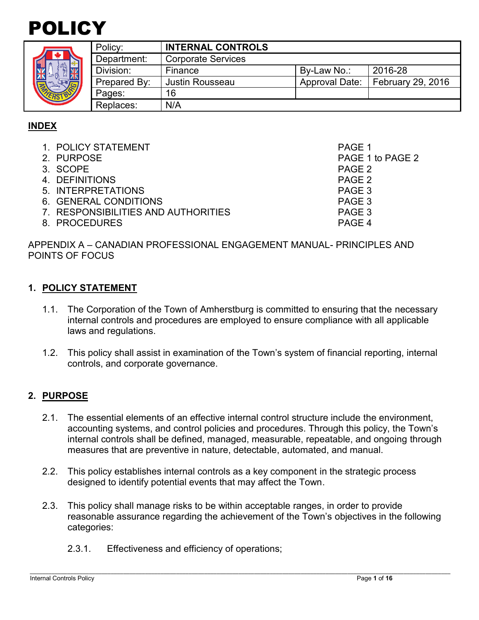



| Policy:      | <b>INTERNAL CONTROLS</b>  |                |                   |
|--------------|---------------------------|----------------|-------------------|
| Department:  | <b>Corporate Services</b> |                |                   |
| Division:    | Finance                   | By-Law No.:    | 2016-28           |
| Prepared By: | Justin Rousseau           | Approval Date: | February 29, 2016 |
| Pages:       | 16                        |                |                   |
| Replaces:    | N/A                       |                |                   |

# **INDEX**

| 1. POLICY STATEMENT                 | PAGE 1           |
|-------------------------------------|------------------|
| 2. PURPOSE                          | PAGE 1 to PAGE 2 |
| 3. SCOPE                            | PAGE 2           |
| 4. DEFINITIONS                      | PAGE 2           |
| 5. INTERPRETATIONS                  | PAGE 3           |
| 6. GENERAL CONDITIONS               | PAGE 3           |
| 7. RESPONSIBILITIES AND AUTHORITIES | PAGE 3           |
| 8. PROCEDURES                       | PAGE 4           |
|                                     |                  |

APPENDIX A – CANADIAN PROFESSIONAL ENGAGEMENT MANUAL- PRINCIPLES AND POINTS OF FOCUS

#### **1. POLICY STATEMENT**

- 1.1. The Corporation of the Town of Amherstburg is committed to ensuring that the necessary internal controls and procedures are employed to ensure compliance with all applicable laws and regulations.
- 1.2. This policy shall assist in examination of the Town's system of financial reporting, internal controls, and corporate governance.

## **2. PURPOSE**

- 2.1. The essential elements of an effective internal control structure include the environment, accounting systems, and control policies and procedures. Through this policy, the Town's internal controls shall be defined, managed, measurable, repeatable, and ongoing through measures that are preventive in nature, detectable, automated, and manual.
- 2.2. This policy establishes internal controls as a key component in the strategic process designed to identify potential events that may affect the Town.
- 2.3. This policy shall manage risks to be within acceptable ranges, in order to provide reasonable assurance regarding the achievement of the Town's objectives in the following categories:
	- 2.3.1. Effectiveness and efficiency of operations;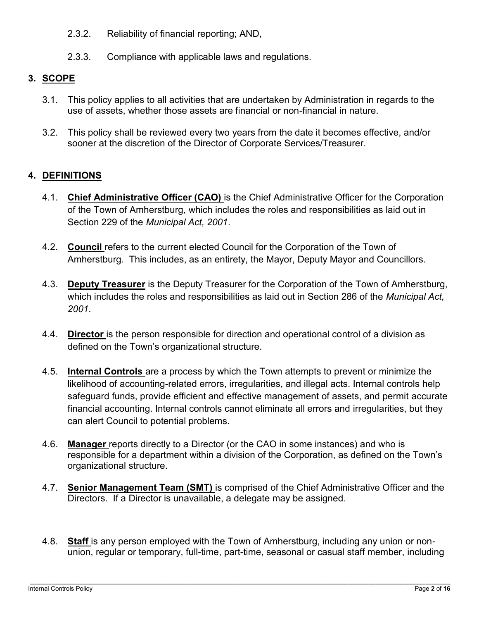- 2.3.2. Reliability of financial reporting; AND,
- 2.3.3. Compliance with applicable laws and regulations.

## **3. SCOPE**

- 3.1. This policy applies to all activities that are undertaken by Administration in regards to the use of assets, whether those assets are financial or non-financial in nature.
- 3.2. This policy shall be reviewed every two years from the date it becomes effective, and/or sooner at the discretion of the Director of Corporate Services/Treasurer.

## **4. DEFINITIONS**

- 4.1. **Chief Administrative Officer (CAO)** is the Chief Administrative Officer for the Corporation of the Town of Amherstburg, which includes the roles and responsibilities as laid out in Section 229 of the *Municipal Act, 2001*.
- 4.2. **Council** refers to the current elected Council for the Corporation of the Town of Amherstburg. This includes, as an entirety, the Mayor, Deputy Mayor and Councillors.
- 4.3. **Deputy Treasurer** is the Deputy Treasurer for the Corporation of the Town of Amherstburg, which includes the roles and responsibilities as laid out in Section 286 of the *Municipal Act, 2001*.
- 4.4. **Director** is the person responsible for direction and operational control of a division as defined on the Town's organizational structure.
- 4.5. **Internal Controls** are a process by which the Town attempts to prevent or minimize the likelihood of accounting-related errors, irregularities, and illegal acts. Internal controls help safeguard funds, provide efficient and effective management of assets, and permit accurate financial accounting. Internal controls cannot eliminate all errors and irregularities, but they can alert Council to potential problems.
- 4.6. **Manager** reports directly to a Director (or the CAO in some instances) and who is responsible for a department within a division of the Corporation, as defined on the Town's organizational structure.
- 4.7. **Senior Management Team (SMT)** is comprised of the Chief Administrative Officer and the Directors. If a Director is unavailable, a delegate may be assigned.
- 4.8. **Staff** is any person employed with the Town of Amherstburg, including any union or nonunion, regular or temporary, full-time, part-time, seasonal or casual staff member, including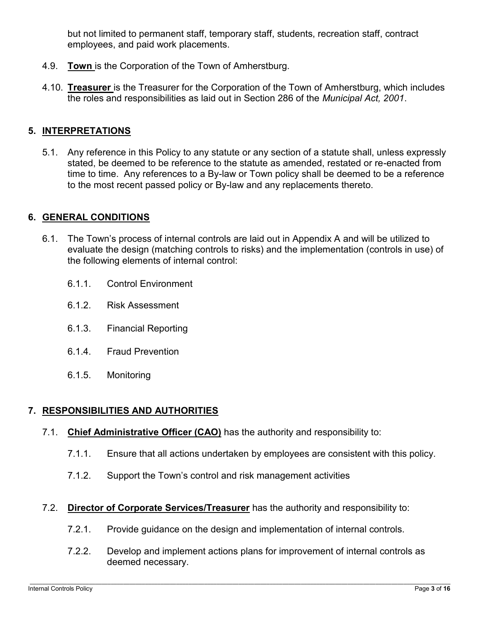but not limited to permanent staff, temporary staff, students, recreation staff, contract employees, and paid work placements.

- 4.9. **Town** is the Corporation of the Town of Amherstburg.
- 4.10. **Treasurer** is the Treasurer for the Corporation of the Town of Amherstburg, which includes the roles and responsibilities as laid out in Section 286 of the *Municipal Act, 2001*.

### **5. INTERPRETATIONS**

5.1. Any reference in this Policy to any statute or any section of a statute shall, unless expressly stated, be deemed to be reference to the statute as amended, restated or re-enacted from time to time. Any references to a By-law or Town policy shall be deemed to be a reference to the most recent passed policy or By-law and any replacements thereto.

#### **6. GENERAL CONDITIONS**

- 6.1. The Town's process of internal controls are laid out in Appendix A and will be utilized to evaluate the design (matching controls to risks) and the implementation (controls in use) of the following elements of internal control:
	- 6.1.1. Control Environment
	- 6.1.2. Risk Assessment
	- 6.1.3. Financial Reporting
	- 6.1.4. Fraud Prevention
	- 6.1.5. Monitoring

#### **7. RESPONSIBILITIES AND AUTHORITIES**

- 7.1. **Chief Administrative Officer (CAO)** has the authority and responsibility to:
	- 7.1.1. Ensure that all actions undertaken by employees are consistent with this policy.
	- 7.1.2. Support the Town's control and risk management activities
- 7.2. **Director of Corporate Services/Treasurer** has the authority and responsibility to:
	- 7.2.1. Provide guidance on the design and implementation of internal controls.
	- 7.2.2. Develop and implement actions plans for improvement of internal controls as deemed necessary.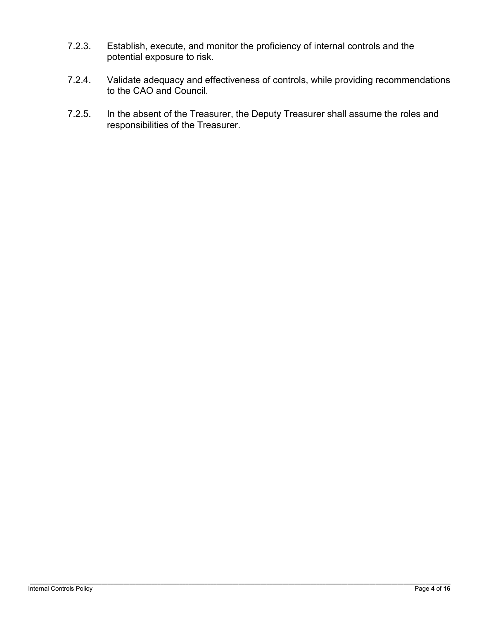- 7.2.3. Establish, execute, and monitor the proficiency of internal controls and the potential exposure to risk.
- 7.2.4. Validate adequacy and effectiveness of controls, while providing recommendations to the CAO and Council.
- 7.2.5. In the absent of the Treasurer, the Deputy Treasurer shall assume the roles and responsibilities of the Treasurer.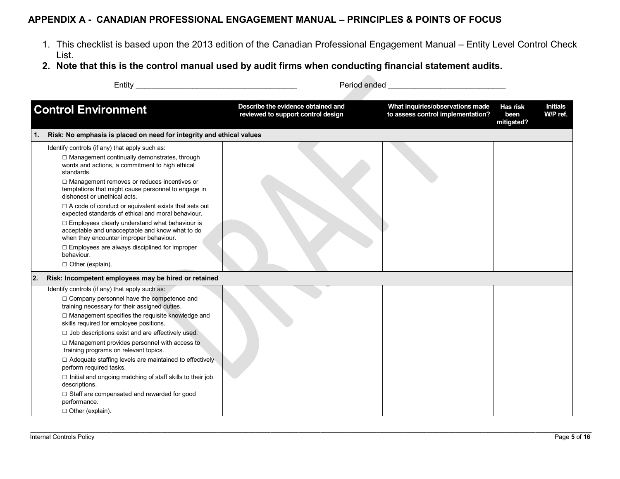#### **APPENDIX A - CANADIAN PROFESSIONAL ENGAGEMENT MANUAL – PRINCIPLES & POINTS OF FOCUS**

- 1. This checklist is based upon the 2013 edition of the Canadian Professional Engagement Manual Entity Level Control Check List.
- **2. Note that this is the control manual used by audit firms when conducting financial statement audits.**

|    | Entity                                                                                                                                                                                                                                                                                                                                                                                                                                                                                                                                                                                                                                                                                       | Period ended                                                             |                                                                       |                                |                             |
|----|----------------------------------------------------------------------------------------------------------------------------------------------------------------------------------------------------------------------------------------------------------------------------------------------------------------------------------------------------------------------------------------------------------------------------------------------------------------------------------------------------------------------------------------------------------------------------------------------------------------------------------------------------------------------------------------------|--------------------------------------------------------------------------|-----------------------------------------------------------------------|--------------------------------|-----------------------------|
|    | <b>Control Environment</b>                                                                                                                                                                                                                                                                                                                                                                                                                                                                                                                                                                                                                                                                   | Describe the evidence obtained and<br>reviewed to support control design | What inquiries/observations made<br>to assess control implementation? | Has risk<br>been<br>mitigated? | <b>Initials</b><br>W/P ref. |
| 1. | Risk: No emphasis is placed on need for integrity and ethical values                                                                                                                                                                                                                                                                                                                                                                                                                                                                                                                                                                                                                         |                                                                          |                                                                       |                                |                             |
|    | Identify controls (if any) that apply such as:<br>□ Management continually demonstrates, through<br>words and actions, a commitment to high ethical<br>standards.<br>□ Management removes or reduces incentives or<br>temptations that might cause personnel to engage in<br>dishonest or unethical acts.<br>$\Box$ A code of conduct or equivalent exists that sets out<br>expected standards of ethical and moral behaviour.<br>$\Box$ Employees clearly understand what behaviour is<br>acceptable and unacceptable and know what to do<br>when they encounter improper behaviour.<br>$\Box$ Employees are always disciplined for improper<br>behaviour.<br>$\Box$ Other (explain).       |                                                                          |                                                                       |                                |                             |
| 2. | Risk: Incompetent employees may be hired or retained                                                                                                                                                                                                                                                                                                                                                                                                                                                                                                                                                                                                                                         |                                                                          |                                                                       |                                |                             |
|    | Identify controls (if any) that apply such as:<br>□ Company personnel have the competence and<br>training necessary for their assigned duties.<br>□ Management specifies the requisite knowledge and<br>skills required for employee positions.<br>$\Box$ Job descriptions exist and are effectively used.<br>$\Box$ Management provides personnel with access to<br>training programs on relevant topics.<br>$\Box$ Adequate staffing levels are maintained to effectively<br>perform required tasks.<br>$\Box$ Initial and ongoing matching of staff skills to their job<br>descriptions.<br>$\Box$ Staff are compensated and rewarded for good<br>performance.<br>$\Box$ Other (explain). |                                                                          |                                                                       |                                |                             |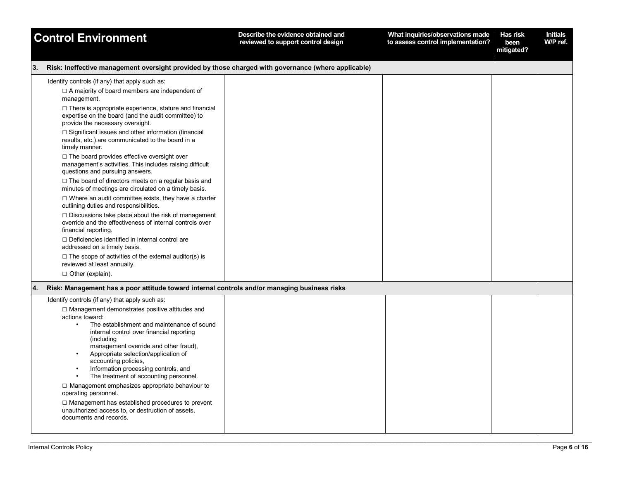| <b>Control Environment</b>                                                                                                                                                                                                                                                                                                                                                                                                                                                                                                                                                                                                                                        | Describe the evidence obtained and<br>reviewed to support control design | What inquiries/observations made<br>to assess control implementation? | Has risk<br>been<br>mitigated? | <b>Initials</b><br>W/P ref. |
|-------------------------------------------------------------------------------------------------------------------------------------------------------------------------------------------------------------------------------------------------------------------------------------------------------------------------------------------------------------------------------------------------------------------------------------------------------------------------------------------------------------------------------------------------------------------------------------------------------------------------------------------------------------------|--------------------------------------------------------------------------|-----------------------------------------------------------------------|--------------------------------|-----------------------------|
| Risk: Ineffective management oversight provided by those charged with governance (where applicable)<br>13.                                                                                                                                                                                                                                                                                                                                                                                                                                                                                                                                                        |                                                                          |                                                                       |                                |                             |
| Identify controls (if any) that apply such as:<br>$\Box$ A majority of board members are independent of<br>management.<br>$\Box$ There is appropriate experience, stature and financial<br>expertise on the board (and the audit committee) to<br>provide the necessary oversight.                                                                                                                                                                                                                                                                                                                                                                                |                                                                          |                                                                       |                                |                             |
| $\Box$ Significant issues and other information (financial<br>results, etc.) are communicated to the board in a<br>timely manner.                                                                                                                                                                                                                                                                                                                                                                                                                                                                                                                                 |                                                                          |                                                                       |                                |                             |
| $\Box$ The board provides effective oversight over<br>management's activities. This includes raising difficult<br>questions and pursuing answers.                                                                                                                                                                                                                                                                                                                                                                                                                                                                                                                 |                                                                          |                                                                       |                                |                             |
| $\Box$ The board of directors meets on a regular basis and<br>minutes of meetings are circulated on a timely basis.                                                                                                                                                                                                                                                                                                                                                                                                                                                                                                                                               |                                                                          |                                                                       |                                |                             |
| $\Box$ Where an audit committee exists, they have a charter<br>outlining duties and responsibilities.                                                                                                                                                                                                                                                                                                                                                                                                                                                                                                                                                             |                                                                          |                                                                       |                                |                             |
| $\Box$ Discussions take place about the risk of management<br>override and the effectiveness of internal controls over<br>financial reporting.                                                                                                                                                                                                                                                                                                                                                                                                                                                                                                                    |                                                                          |                                                                       |                                |                             |
| $\Box$ Deficiencies identified in internal control are<br>addressed on a timely basis.                                                                                                                                                                                                                                                                                                                                                                                                                                                                                                                                                                            |                                                                          |                                                                       |                                |                             |
| $\Box$ The scope of activities of the external auditor(s) is<br>reviewed at least annually.                                                                                                                                                                                                                                                                                                                                                                                                                                                                                                                                                                       |                                                                          |                                                                       |                                |                             |
| $\Box$ Other (explain).                                                                                                                                                                                                                                                                                                                                                                                                                                                                                                                                                                                                                                           |                                                                          |                                                                       |                                |                             |
| Risk: Management has a poor attitude toward internal controls and/or managing business risks<br>14.                                                                                                                                                                                                                                                                                                                                                                                                                                                                                                                                                               |                                                                          |                                                                       |                                |                             |
| Identify controls (if any) that apply such as:<br>$\Box$ Management demonstrates positive attitudes and<br>actions toward:<br>The establishment and maintenance of sound<br>internal control over financial reporting<br>(including<br>management override and other fraud),<br>Appropriate selection/application of<br>$\bullet$<br>accounting policies,<br>Information processing controls, and<br>The treatment of accounting personnel.<br>$\Box$ Management emphasizes appropriate behaviour to<br>operating personnel.<br>□ Management has established procedures to prevent<br>unauthorized access to, or destruction of assets,<br>documents and records. |                                                                          |                                                                       |                                |                             |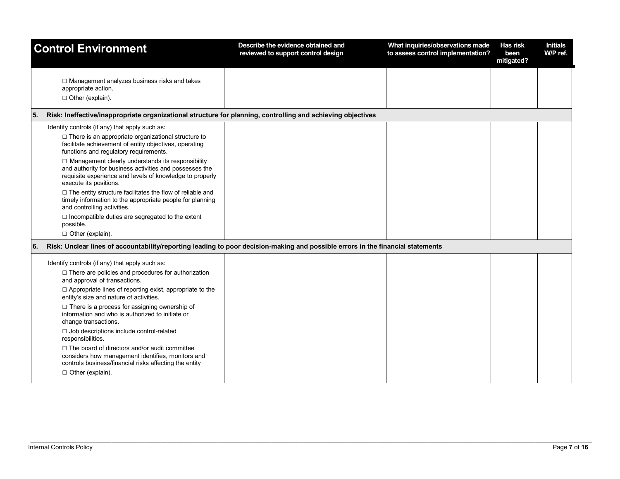|     | <b>Control Environment</b>                                                                                                                                                                           | Describe the evidence obtained and<br>reviewed to support control design | What inquiries/observations made<br>to assess control implementation? | Has risk<br>been<br>mitigated? | <b>Initials</b><br>W/P ref. |
|-----|------------------------------------------------------------------------------------------------------------------------------------------------------------------------------------------------------|--------------------------------------------------------------------------|-----------------------------------------------------------------------|--------------------------------|-----------------------------|
|     | $\Box$ Management analyzes business risks and takes<br>appropriate action.<br>$\Box$ Other (explain).                                                                                                |                                                                          |                                                                       |                                |                             |
|     |                                                                                                                                                                                                      |                                                                          |                                                                       |                                |                             |
| 55. | Risk: Ineffective/inappropriate organizational structure for planning, controlling and achieving objectives                                                                                          |                                                                          |                                                                       |                                |                             |
|     | Identify controls (if any) that apply such as:                                                                                                                                                       |                                                                          |                                                                       |                                |                             |
|     | $\Box$ There is an appropriate organizational structure to<br>facilitate achievement of entity objectives, operating<br>functions and regulatory requirements.                                       |                                                                          |                                                                       |                                |                             |
|     | □ Management clearly understands its responsibility<br>and authority for business activities and possesses the<br>requisite experience and levels of knowledge to properly<br>execute its positions. |                                                                          |                                                                       |                                |                             |
|     | $\Box$ The entity structure facilitates the flow of reliable and<br>timely information to the appropriate people for planning<br>and controlling activities.                                         |                                                                          |                                                                       |                                |                             |
|     | □ Incompatible duties are segregated to the extent<br>possible.                                                                                                                                      |                                                                          |                                                                       |                                |                             |
|     | $\Box$ Other (explain).                                                                                                                                                                              |                                                                          |                                                                       |                                |                             |
| 6.  | Risk: Unclear lines of accountability/reporting leading to poor decision-making and possible errors in the financial statements                                                                      |                                                                          |                                                                       |                                |                             |
|     | Identify controls (if any) that apply such as:                                                                                                                                                       |                                                                          |                                                                       |                                |                             |
|     | $\Box$ There are policies and procedures for authorization<br>and approval of transactions.                                                                                                          |                                                                          |                                                                       |                                |                             |
|     | $\Box$ Appropriate lines of reporting exist, appropriate to the<br>entity's size and nature of activities.                                                                                           |                                                                          |                                                                       |                                |                             |
|     | $\Box$ There is a process for assigning ownership of<br>information and who is authorized to initiate or<br>change transactions.                                                                     |                                                                          |                                                                       |                                |                             |
|     | □ Job descriptions include control-related<br>responsibilities.                                                                                                                                      |                                                                          |                                                                       |                                |                             |
|     | $\Box$ The board of directors and/or audit committee<br>considers how management identifies, monitors and<br>controls business/financial risks affecting the entity                                  |                                                                          |                                                                       |                                |                             |
|     | $\Box$ Other (explain).                                                                                                                                                                              |                                                                          |                                                                       |                                |                             |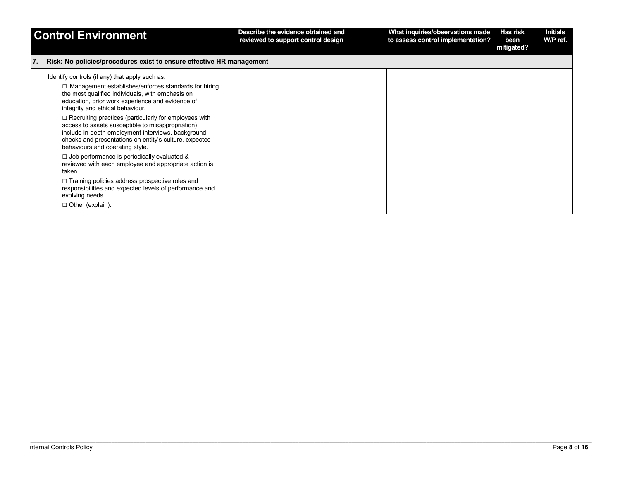|     | <b>Control Environment</b>                                                                                                                                                                                                                                           | Describe the evidence obtained and<br>reviewed to support control design | What inquiries/observations made<br>to assess control implementation? | Has risk<br>been<br>mitigated? | <b>Initials</b><br>W/P ref. |
|-----|----------------------------------------------------------------------------------------------------------------------------------------------------------------------------------------------------------------------------------------------------------------------|--------------------------------------------------------------------------|-----------------------------------------------------------------------|--------------------------------|-----------------------------|
| 17. | Risk: No policies/procedures exist to ensure effective HR management                                                                                                                                                                                                 |                                                                          |                                                                       |                                |                             |
|     | Identify controls (if any) that apply such as:<br>$\Box$ Management establishes/enforces standards for hiring<br>the most qualified individuals, with emphasis on<br>education, prior work experience and evidence of<br>integrity and ethical behaviour.            |                                                                          |                                                                       |                                |                             |
|     | $\Box$ Recruiting practices (particularly for employees with<br>access to assets susceptible to misappropriation)<br>include in-depth employment interviews, background<br>checks and presentations on entity's culture, expected<br>behaviours and operating style. |                                                                          |                                                                       |                                |                             |
|     | $\Box$ Job performance is periodically evaluated &<br>reviewed with each employee and appropriate action is<br>taken.                                                                                                                                                |                                                                          |                                                                       |                                |                             |
|     | $\Box$ Training policies address prospective roles and<br>responsibilities and expected levels of performance and<br>evolving needs.                                                                                                                                 |                                                                          |                                                                       |                                |                             |
|     | $\Box$ Other (explain).                                                                                                                                                                                                                                              |                                                                          |                                                                       |                                |                             |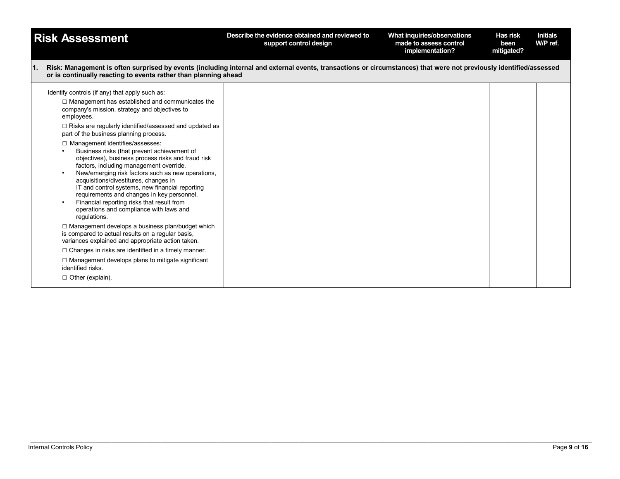| <b>Risk Assessment</b>                                                                                                                                                                                                                                                                                                                                                                                                                                                                                                                                                                                                                                                                                                                                                                                                                     | Describe the evidence obtained and reviewed to<br>support control design | What inquiries/observations<br>made to assess control<br>implementation? | Has risk<br>been<br>mitigated? | <b>Initials</b><br>W/P ref. |
|--------------------------------------------------------------------------------------------------------------------------------------------------------------------------------------------------------------------------------------------------------------------------------------------------------------------------------------------------------------------------------------------------------------------------------------------------------------------------------------------------------------------------------------------------------------------------------------------------------------------------------------------------------------------------------------------------------------------------------------------------------------------------------------------------------------------------------------------|--------------------------------------------------------------------------|--------------------------------------------------------------------------|--------------------------------|-----------------------------|
| Risk: Management is often surprised by events (including internal and external events, transactions or circumstances) that were not previously identified/assessed<br>1.<br>or is continually reacting to events rather than planning ahead                                                                                                                                                                                                                                                                                                                                                                                                                                                                                                                                                                                                |                                                                          |                                                                          |                                |                             |
| Identify controls (if any) that apply such as:<br>$\Box$ Management has established and communicates the<br>company's mission, strategy and objectives to<br>employees.<br>$\Box$ Risks are regularly identified/assessed and updated as<br>part of the business planning process.<br>□ Management identifies/assesses:<br>Business risks (that prevent achievement of<br>objectives), business process risks and fraud risk<br>factors, including management override.<br>New/emerging risk factors such as new operations,<br>acquisitions/divestitures, changes in<br>IT and control systems, new financial reporting<br>requirements and changes in key personnel.<br>Financial reporting risks that result from<br>operations and compliance with laws and<br>regulations.<br>$\Box$ Management develops a business plan/budget which |                                                                          |                                                                          |                                |                             |
| is compared to actual results on a regular basis,<br>variances explained and appropriate action taken.                                                                                                                                                                                                                                                                                                                                                                                                                                                                                                                                                                                                                                                                                                                                     |                                                                          |                                                                          |                                |                             |
| $\Box$ Changes in risks are identified in a timely manner.                                                                                                                                                                                                                                                                                                                                                                                                                                                                                                                                                                                                                                                                                                                                                                                 |                                                                          |                                                                          |                                |                             |
| $\Box$ Management develops plans to mitigate significant<br>identified risks.                                                                                                                                                                                                                                                                                                                                                                                                                                                                                                                                                                                                                                                                                                                                                              |                                                                          |                                                                          |                                |                             |
| $\Box$ Other (explain).                                                                                                                                                                                                                                                                                                                                                                                                                                                                                                                                                                                                                                                                                                                                                                                                                    |                                                                          |                                                                          |                                |                             |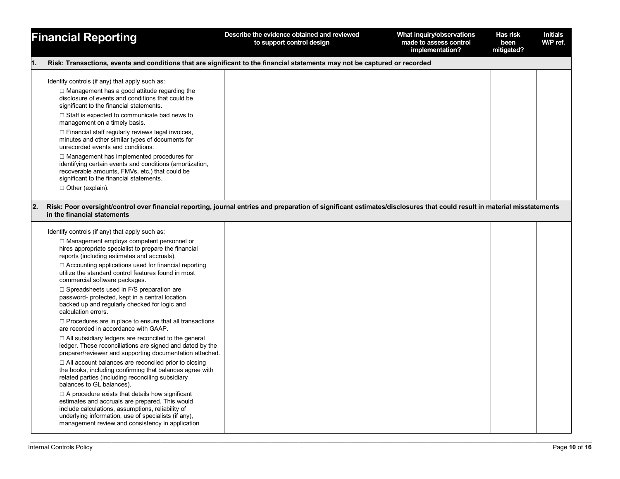|    | <b>Financial Reporting</b>                                                                                                                                                                                                                                                                                                                                                                                                                                                                                                                                                                                                                                                                                                                                                                                                                                                                                                                                                                                                                                                                                                                                                                                                                                                                                                                     | Describe the evidence obtained and reviewed<br>to support control design | What inquiry/observations<br>made to assess control<br>implementation? | Has risk<br>been<br>mitigated? | <b>Initials</b><br>W/P ref. |
|----|------------------------------------------------------------------------------------------------------------------------------------------------------------------------------------------------------------------------------------------------------------------------------------------------------------------------------------------------------------------------------------------------------------------------------------------------------------------------------------------------------------------------------------------------------------------------------------------------------------------------------------------------------------------------------------------------------------------------------------------------------------------------------------------------------------------------------------------------------------------------------------------------------------------------------------------------------------------------------------------------------------------------------------------------------------------------------------------------------------------------------------------------------------------------------------------------------------------------------------------------------------------------------------------------------------------------------------------------|--------------------------------------------------------------------------|------------------------------------------------------------------------|--------------------------------|-----------------------------|
| 1. | Risk: Transactions, events and conditions that are significant to the financial statements may not be captured or recorded                                                                                                                                                                                                                                                                                                                                                                                                                                                                                                                                                                                                                                                                                                                                                                                                                                                                                                                                                                                                                                                                                                                                                                                                                     |                                                                          |                                                                        |                                |                             |
|    | Identify controls (if any) that apply such as:<br>$\Box$ Management has a good attitude regarding the<br>disclosure of events and conditions that could be<br>significant to the financial statements.<br>$\Box$ Staff is expected to communicate bad news to<br>management on a timely basis.<br>□ Financial staff regularly reviews legal invoices,<br>minutes and other similar types of documents for<br>unrecorded events and conditions.<br>$\Box$ Management has implemented procedures for<br>identifying certain events and conditions (amortization,                                                                                                                                                                                                                                                                                                                                                                                                                                                                                                                                                                                                                                                                                                                                                                                 |                                                                          |                                                                        |                                |                             |
|    | recoverable amounts, FMVs, etc.) that could be<br>significant to the financial statements.<br>$\Box$ Other (explain).                                                                                                                                                                                                                                                                                                                                                                                                                                                                                                                                                                                                                                                                                                                                                                                                                                                                                                                                                                                                                                                                                                                                                                                                                          |                                                                          |                                                                        |                                |                             |
| 2. | Risk: Poor oversight/control over financial reporting, journal entries and preparation of significant estimates/disclosures that could result in material misstatements<br>in the financial statements                                                                                                                                                                                                                                                                                                                                                                                                                                                                                                                                                                                                                                                                                                                                                                                                                                                                                                                                                                                                                                                                                                                                         |                                                                          |                                                                        |                                |                             |
|    | Identify controls (if any) that apply such as:<br>$\Box$ Management employs competent personnel or<br>hires appropriate specialist to prepare the financial<br>reports (including estimates and accruals).<br>$\Box$ Accounting applications used for financial reporting<br>utilize the standard control features found in most<br>commercial software packages.<br>$\Box$ Spreadsheets used in F/S preparation are<br>password- protected, kept in a central location,<br>backed up and regularly checked for logic and<br>calculation errors.<br>$\Box$ Procedures are in place to ensure that all transactions<br>are recorded in accordance with GAAP.<br>$\Box$ All subsidiary ledgers are reconciled to the general<br>ledger. These reconciliations are signed and dated by the<br>preparer/reviewer and supporting documentation attached.<br>$\Box$ All account balances are reconciled prior to closing<br>the books, including confirming that balances agree with<br>related parties (including reconciling subsidiary<br>balances to GL balances).<br>$\Box$ A procedure exists that details how significant<br>estimates and accruals are prepared. This would<br>include calculations, assumptions, reliability of<br>underlying information, use of specialists (if any),<br>management review and consistency in application |                                                                          |                                                                        |                                |                             |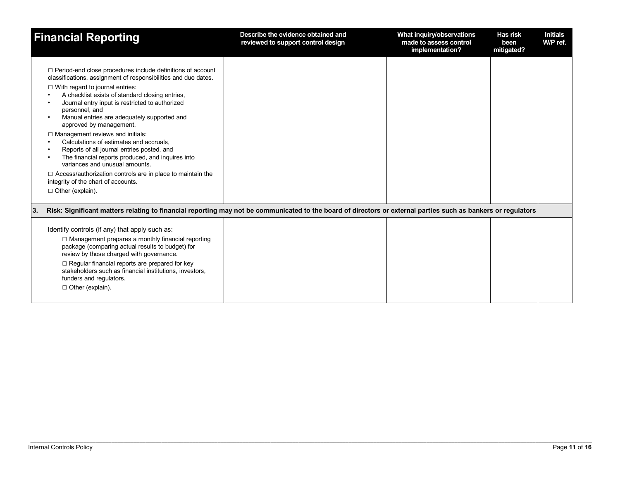| <b>Financial Reporting</b>                                                                                                                                                                                                                                                                                                                                                                                                                                                                                                                                                                                                                                                                                                                   | Describe the evidence obtained and<br>reviewed to support control design | What inquiry/observations<br>made to assess control<br>implementation? | <b>Has risk</b><br>been<br>mitigated? | <b>Initials</b><br>W/P ref. |
|----------------------------------------------------------------------------------------------------------------------------------------------------------------------------------------------------------------------------------------------------------------------------------------------------------------------------------------------------------------------------------------------------------------------------------------------------------------------------------------------------------------------------------------------------------------------------------------------------------------------------------------------------------------------------------------------------------------------------------------------|--------------------------------------------------------------------------|------------------------------------------------------------------------|---------------------------------------|-----------------------------|
| □ Period-end close procedures include definitions of account<br>classifications, assignment of responsibilities and due dates.<br>$\Box$ With regard to journal entries:<br>A checklist exists of standard closing entries,<br>Journal entry input is restricted to authorized<br>personnel, and<br>Manual entries are adequately supported and<br>approved by management.<br>$\Box$ Management reviews and initials:<br>Calculations of estimates and accruals.<br>Reports of all journal entries posted, and<br>The financial reports produced, and inquires into<br>variances and unusual amounts.<br>$\Box$ Access/authorization controls are in place to maintain the<br>integrity of the chart of accounts.<br>$\Box$ Other (explain). |                                                                          |                                                                        |                                       |                             |
| Risk: Significant matters relating to financial reporting may not be communicated to the board of directors or external parties such as bankers or regulators<br><b>3.</b>                                                                                                                                                                                                                                                                                                                                                                                                                                                                                                                                                                   |                                                                          |                                                                        |                                       |                             |
| Identify controls (if any) that apply such as:<br>$\Box$ Management prepares a monthly financial reporting<br>package (comparing actual results to budget) for<br>review by those charged with governance.<br>$\Box$ Regular financial reports are prepared for key<br>stakeholders such as financial institutions, investors,<br>funders and regulators.<br>$\Box$ Other (explain).                                                                                                                                                                                                                                                                                                                                                         |                                                                          |                                                                        |                                       |                             |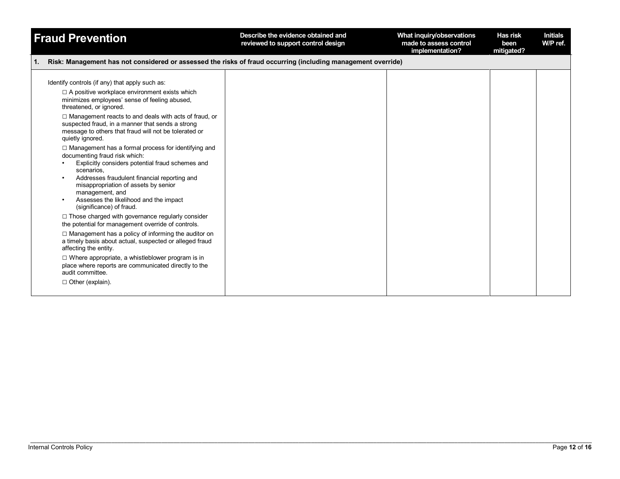| <b>Fraud Prevention</b>                                                                                                                                                                                                                                                                                                                                                                                                                                                                                                                                                                                                                                                                                                                                                                                                                                                                                                                                                                                                                                                                                                                                               | Describe the evidence obtained and<br>reviewed to support control design | What inquiry/observations<br>made to assess control<br>implementation? | Has risk<br>been<br>mitigated? | <b>Initials</b><br>W/P ref. |
|-----------------------------------------------------------------------------------------------------------------------------------------------------------------------------------------------------------------------------------------------------------------------------------------------------------------------------------------------------------------------------------------------------------------------------------------------------------------------------------------------------------------------------------------------------------------------------------------------------------------------------------------------------------------------------------------------------------------------------------------------------------------------------------------------------------------------------------------------------------------------------------------------------------------------------------------------------------------------------------------------------------------------------------------------------------------------------------------------------------------------------------------------------------------------|--------------------------------------------------------------------------|------------------------------------------------------------------------|--------------------------------|-----------------------------|
| Risk: Management has not considered or assessed the risks of fraud occurring (including management override)<br>1.                                                                                                                                                                                                                                                                                                                                                                                                                                                                                                                                                                                                                                                                                                                                                                                                                                                                                                                                                                                                                                                    |                                                                          |                                                                        |                                |                             |
| Identify controls (if any) that apply such as:<br>$\Box$ A positive workplace environment exists which<br>minimizes employees' sense of feeling abused,<br>threatened, or ignored.<br>$\Box$ Management reacts to and deals with acts of fraud, or<br>suspected fraud, in a manner that sends a strong<br>message to others that fraud will not be tolerated or<br>quietly ignored.<br>□ Management has a formal process for identifying and<br>documenting fraud risk which:<br>Explicitly considers potential fraud schemes and<br>scenarios,<br>Addresses fraudulent financial reporting and<br>misappropriation of assets by senior<br>management, and<br>Assesses the likelihood and the impact<br>(significance) of fraud.<br>$\Box$ Those charged with governance regularly consider<br>the potential for management override of controls.<br>$\Box$ Management has a policy of informing the auditor on<br>a timely basis about actual, suspected or alleged fraud<br>affecting the entity.<br>$\Box$ Where appropriate, a whistleblower program is in<br>place where reports are communicated directly to the<br>audit committee.<br>$\Box$ Other (explain). |                                                                          |                                                                        |                                |                             |
|                                                                                                                                                                                                                                                                                                                                                                                                                                                                                                                                                                                                                                                                                                                                                                                                                                                                                                                                                                                                                                                                                                                                                                       |                                                                          |                                                                        |                                |                             |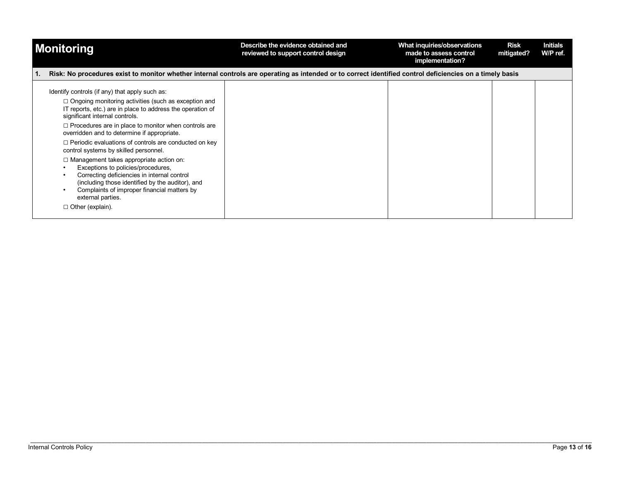| <b>Monitoring</b>                                                                                                                                                                                                                                                                                                                                                                                                                                                                                                                                                                                                                                                                                                              | Describe the evidence obtained and<br>reviewed to support control design | What inquiries/observations<br>made to assess control<br>implementation? | <b>Risk</b><br>mitigated? | <b>Initials</b><br>W/P ref. |
|--------------------------------------------------------------------------------------------------------------------------------------------------------------------------------------------------------------------------------------------------------------------------------------------------------------------------------------------------------------------------------------------------------------------------------------------------------------------------------------------------------------------------------------------------------------------------------------------------------------------------------------------------------------------------------------------------------------------------------|--------------------------------------------------------------------------|--------------------------------------------------------------------------|---------------------------|-----------------------------|
| Risk: No procedures exist to monitor whether internal controls are operating as intended or to correct identified control deficiencies on a timely basis                                                                                                                                                                                                                                                                                                                                                                                                                                                                                                                                                                       |                                                                          |                                                                          |                           |                             |
| Identify controls (if any) that apply such as:<br>$\Box$ Ongoing monitoring activities (such as exception and<br>IT reports, etc.) are in place to address the operation of<br>significant internal controls.<br>$\Box$ Procedures are in place to monitor when controls are<br>overridden and to determine if appropriate.<br>$\Box$ Periodic evaluations of controls are conducted on key<br>control systems by skilled personnel.<br>$\Box$ Management takes appropriate action on:<br>Exceptions to policies/procedures,<br>Correcting deficiencies in internal control<br>(including those identified by the auditor), and<br>Complaints of improper financial matters by<br>external parties.<br>$\Box$ Other (explain). |                                                                          |                                                                          |                           |                             |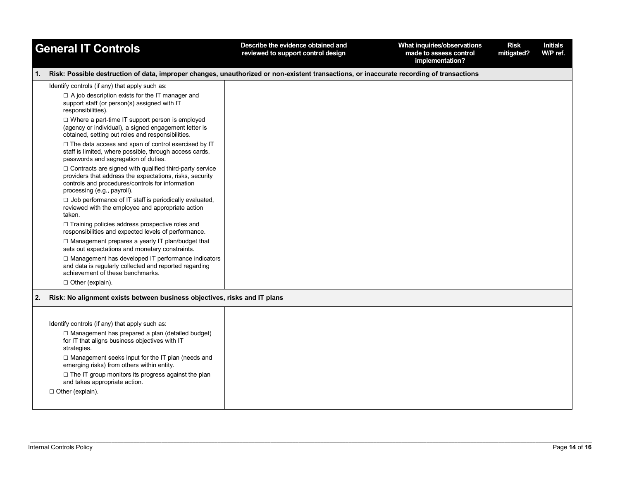|    | <b>General IT Controls</b>                                                                                                                                                                                                               | Describe the evidence obtained and<br>reviewed to support control design | What inquiries/observations<br>made to assess control<br>implementation? | <b>Risk</b><br>mitigated? | <b>Initials</b><br>W/P ref. |
|----|------------------------------------------------------------------------------------------------------------------------------------------------------------------------------------------------------------------------------------------|--------------------------------------------------------------------------|--------------------------------------------------------------------------|---------------------------|-----------------------------|
| 1. | Risk: Possible destruction of data, improper changes, unauthorized or non-existent transactions, or inaccurate recording of transactions                                                                                                 |                                                                          |                                                                          |                           |                             |
|    | Identify controls (if any) that apply such as:<br>$\Box$ A job description exists for the IT manager and<br>support staff (or person(s) assigned with IT<br>responsibilities).<br>$\Box$ Where a part-time IT support person is employed |                                                                          |                                                                          |                           |                             |
|    | (agency or individual), a signed engagement letter is<br>obtained, setting out roles and responsibilities.                                                                                                                               |                                                                          |                                                                          |                           |                             |
|    | □ The data access and span of control exercised by IT<br>staff is limited, where possible, through access cards,<br>passwords and segregation of duties.                                                                                 |                                                                          |                                                                          |                           |                             |
|    | $\Box$ Contracts are signed with qualified third-party service<br>providers that address the expectations, risks, security<br>controls and procedures/controls for information<br>processing (e.g., payroll).                            |                                                                          |                                                                          |                           |                             |
|    | □ Job performance of IT staff is periodically evaluated,<br>reviewed with the employee and appropriate action<br>taken.                                                                                                                  |                                                                          |                                                                          |                           |                             |
|    | $\Box$ Training policies address prospective roles and<br>responsibilities and expected levels of performance.                                                                                                                           |                                                                          |                                                                          |                           |                             |
|    | □ Management prepares a yearly IT plan/budget that<br>sets out expectations and monetary constraints.                                                                                                                                    |                                                                          |                                                                          |                           |                             |
|    | □ Management has developed IT performance indicators<br>and data is regularly collected and reported regarding<br>achievement of these benchmarks.                                                                                       |                                                                          |                                                                          |                           |                             |
|    | $\Box$ Other (explain).                                                                                                                                                                                                                  |                                                                          |                                                                          |                           |                             |
| 2. | Risk: No alignment exists between business objectives, risks and IT plans                                                                                                                                                                |                                                                          |                                                                          |                           |                             |
|    |                                                                                                                                                                                                                                          |                                                                          |                                                                          |                           |                             |
|    | Identify controls (if any) that apply such as:<br>$\Box$ Management has prepared a plan (detailed budget)<br>for IT that aligns business objectives with IT<br>strategies.                                                               |                                                                          |                                                                          |                           |                             |
|    | $\Box$ Management seeks input for the IT plan (needs and<br>emerging risks) from others within entity.                                                                                                                                   |                                                                          |                                                                          |                           |                             |
|    | $\Box$ The IT group monitors its progress against the plan<br>and takes appropriate action.                                                                                                                                              |                                                                          |                                                                          |                           |                             |
|    | $\Box$ Other (explain).                                                                                                                                                                                                                  |                                                                          |                                                                          |                           |                             |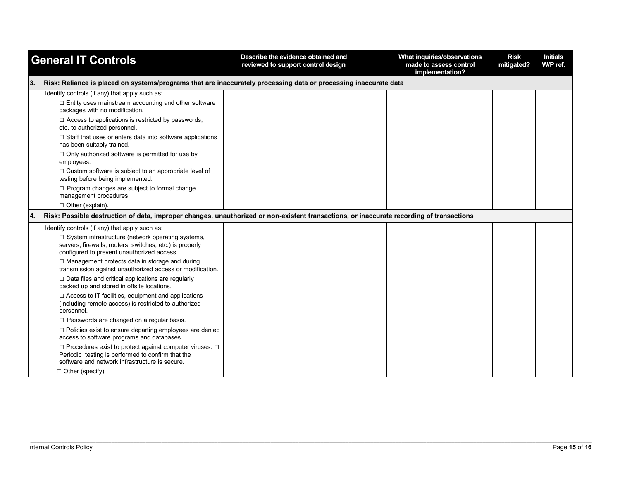| <b>General IT Controls</b> |                                                                                                                                                                    | Describe the evidence obtained and<br>reviewed to support control design | What inquiries/observations<br>made to assess control<br>implementation? | <b>Risk</b><br>mitigated? | <b>Initials</b><br>W/P ref. |
|----------------------------|--------------------------------------------------------------------------------------------------------------------------------------------------------------------|--------------------------------------------------------------------------|--------------------------------------------------------------------------|---------------------------|-----------------------------|
| 3.                         | Risk: Reliance is placed on systems/programs that are inaccurately processing data or processing inaccurate data                                                   |                                                                          |                                                                          |                           |                             |
|                            | Identify controls (if any) that apply such as:<br>□ Entity uses mainstream accounting and other software<br>packages with no modification.                         |                                                                          |                                                                          |                           |                             |
|                            | $\Box$ Access to applications is restricted by passwords,<br>etc. to authorized personnel.                                                                         |                                                                          |                                                                          |                           |                             |
|                            | $\Box$ Staff that uses or enters data into software applications<br>has been suitably trained.                                                                     |                                                                          |                                                                          |                           |                             |
|                            | $\Box$ Only authorized software is permitted for use by<br>employees.                                                                                              |                                                                          |                                                                          |                           |                             |
|                            | $\Box$ Custom software is subject to an appropriate level of<br>testing before being implemented.                                                                  |                                                                          |                                                                          |                           |                             |
|                            | □ Program changes are subject to formal change<br>management procedures.                                                                                           |                                                                          |                                                                          |                           |                             |
|                            | □ Other (explain).                                                                                                                                                 |                                                                          |                                                                          |                           |                             |
| 4.                         | Risk: Possible destruction of data, improper changes, unauthorized or non-existent transactions, or inaccurate recording of transactions                           |                                                                          |                                                                          |                           |                             |
|                            | Identify controls (if any) that apply such as:                                                                                                                     |                                                                          |                                                                          |                           |                             |
|                            | $\Box$ System infrastructure (network operating systems,<br>servers, firewalls, routers, switches, etc.) is properly<br>configured to prevent unauthorized access. |                                                                          |                                                                          |                           |                             |
|                            | $\Box$ Management protects data in storage and during<br>transmission against unauthorized access or modification.                                                 |                                                                          |                                                                          |                           |                             |
|                            | $\Box$ Data files and critical applications are regularly<br>backed up and stored in offsite locations.                                                            |                                                                          |                                                                          |                           |                             |
|                            | $\Box$ Access to IT facilities, equipment and applications<br>(including remote access) is restricted to authorized<br>personnel.                                  |                                                                          |                                                                          |                           |                             |
|                            | $\Box$ Passwords are changed on a regular basis.                                                                                                                   |                                                                          |                                                                          |                           |                             |
|                            | □ Policies exist to ensure departing employees are denied<br>access to software programs and databases.                                                            |                                                                          |                                                                          |                           |                             |
|                            | □ Procedures exist to protect against computer viruses. □<br>Periodic testing is performed to confirm that the<br>software and network infrastructure is secure.   |                                                                          |                                                                          |                           |                             |
|                            | $\Box$ Other (specify).                                                                                                                                            |                                                                          |                                                                          |                           |                             |